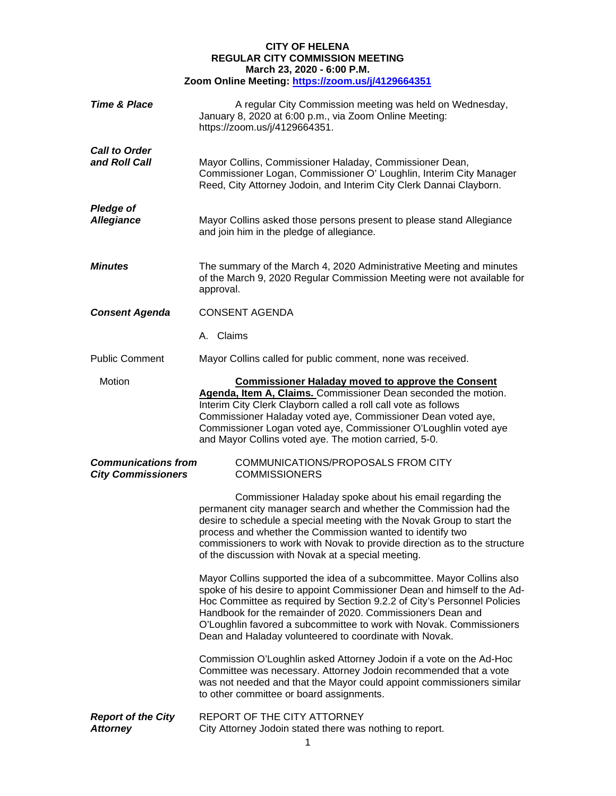## **CITY OF HELENA REGULAR CITY COMMISSION MEETING March 23, 2020 - 6:00 P.M. Zoom Online Meeting:<https://zoom.us/j/4129664351>**

| <b>Time &amp; Place</b>                                 | A regular City Commission meeting was held on Wednesday,<br>January 8, 2020 at 6:00 p.m., via Zoom Online Meeting:<br>https://zoom.us/j/4129664351.                                                                                                                                                                                                                                                                         |
|---------------------------------------------------------|-----------------------------------------------------------------------------------------------------------------------------------------------------------------------------------------------------------------------------------------------------------------------------------------------------------------------------------------------------------------------------------------------------------------------------|
| <b>Call to Order</b><br>and Roll Call                   | Mayor Collins, Commissioner Haladay, Commissioner Dean,<br>Commissioner Logan, Commissioner O' Loughlin, Interim City Manager<br>Reed, City Attorney Jodoin, and Interim City Clerk Dannai Clayborn.                                                                                                                                                                                                                        |
| <b>Pledge of</b><br><b>Allegiance</b>                   | Mayor Collins asked those persons present to please stand Allegiance<br>and join him in the pledge of allegiance.                                                                                                                                                                                                                                                                                                           |
| <b>Minutes</b>                                          | The summary of the March 4, 2020 Administrative Meeting and minutes<br>of the March 9, 2020 Regular Commission Meeting were not available for<br>approval.                                                                                                                                                                                                                                                                  |
| <b>Consent Agenda</b>                                   | <b>CONSENT AGENDA</b>                                                                                                                                                                                                                                                                                                                                                                                                       |
|                                                         | A. Claims                                                                                                                                                                                                                                                                                                                                                                                                                   |
| <b>Public Comment</b>                                   | Mayor Collins called for public comment, none was received.                                                                                                                                                                                                                                                                                                                                                                 |
| Motion                                                  | <b>Commissioner Haladay moved to approve the Consent</b><br>Agenda, Item A, Claims. Commissioner Dean seconded the motion.<br>Interim City Clerk Clayborn called a roll call vote as follows<br>Commissioner Haladay voted aye, Commissioner Dean voted aye,<br>Commissioner Logan voted aye, Commissioner O'Loughlin voted aye<br>and Mayor Collins voted aye. The motion carried, 5-0.                                    |
| <b>Communications from</b><br><b>City Commissioners</b> | COMMUNICATIONS/PROPOSALS FROM CITY<br><b>COMMISSIONERS</b>                                                                                                                                                                                                                                                                                                                                                                  |
|                                                         | Commissioner Haladay spoke about his email regarding the<br>permanent city manager search and whether the Commission had the<br>desire to schedule a special meeting with the Novak Group to start the<br>process and whether the Commission wanted to identify two<br>commissioners to work with Novak to provide direction as to the structure<br>of the discussion with Novak at a special meeting.                      |
|                                                         | Mayor Collins supported the idea of a subcommittee. Mayor Collins also<br>spoke of his desire to appoint Commissioner Dean and himself to the Ad-<br>Hoc Committee as required by Section 9.2.2 of City's Personnel Policies<br>Handbook for the remainder of 2020. Commissioners Dean and<br>O'Loughlin favored a subcommittee to work with Novak. Commissioners<br>Dean and Haladay volunteered to coordinate with Novak. |
|                                                         | Commission O'Loughlin asked Attorney Jodoin if a vote on the Ad-Hoc<br>Committee was necessary. Attorney Jodoin recommended that a vote<br>was not needed and that the Mayor could appoint commissioners similar<br>to other committee or board assignments.                                                                                                                                                                |
| <b>Report of the City</b><br><b>Attorney</b>            | REPORT OF THE CITY ATTORNEY<br>City Attorney Jodoin stated there was nothing to report.                                                                                                                                                                                                                                                                                                                                     |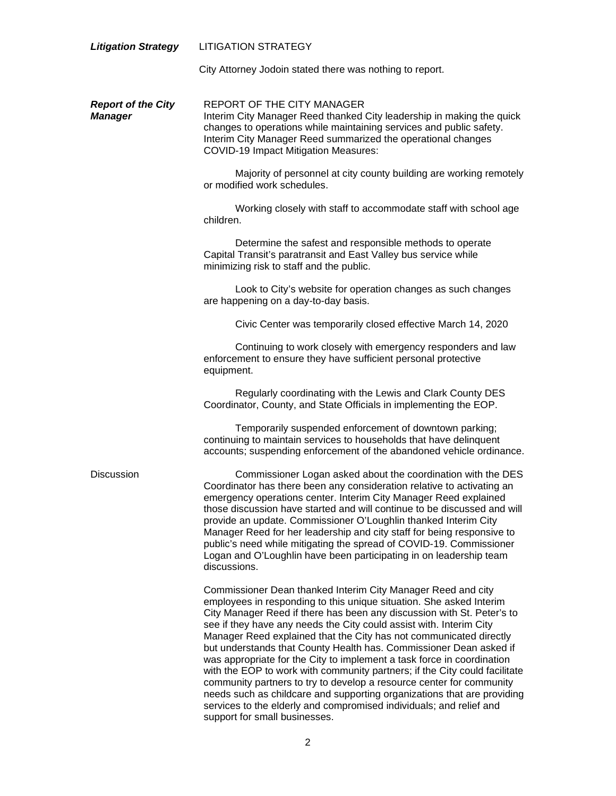| <b>Litigation Strategy</b>                  | <b>LITIGATION STRATEGY</b>                                                                                                                                                                                                                                                                                                                                                                                                                                                                                                                                                                                                                                                                                                                                                                                                                          |
|---------------------------------------------|-----------------------------------------------------------------------------------------------------------------------------------------------------------------------------------------------------------------------------------------------------------------------------------------------------------------------------------------------------------------------------------------------------------------------------------------------------------------------------------------------------------------------------------------------------------------------------------------------------------------------------------------------------------------------------------------------------------------------------------------------------------------------------------------------------------------------------------------------------|
|                                             | City Attorney Jodoin stated there was nothing to report.                                                                                                                                                                                                                                                                                                                                                                                                                                                                                                                                                                                                                                                                                                                                                                                            |
| <b>Report of the City</b><br><b>Manager</b> | REPORT OF THE CITY MANAGER<br>Interim City Manager Reed thanked City leadership in making the quick<br>changes to operations while maintaining services and public safety.<br>Interim City Manager Reed summarized the operational changes<br><b>COVID-19 Impact Mitigation Measures:</b>                                                                                                                                                                                                                                                                                                                                                                                                                                                                                                                                                           |
|                                             | Majority of personnel at city county building are working remotely<br>or modified work schedules.                                                                                                                                                                                                                                                                                                                                                                                                                                                                                                                                                                                                                                                                                                                                                   |
|                                             | Working closely with staff to accommodate staff with school age<br>children.                                                                                                                                                                                                                                                                                                                                                                                                                                                                                                                                                                                                                                                                                                                                                                        |
|                                             | Determine the safest and responsible methods to operate<br>Capital Transit's paratransit and East Valley bus service while<br>minimizing risk to staff and the public.                                                                                                                                                                                                                                                                                                                                                                                                                                                                                                                                                                                                                                                                              |
|                                             | Look to City's website for operation changes as such changes<br>are happening on a day-to-day basis.                                                                                                                                                                                                                                                                                                                                                                                                                                                                                                                                                                                                                                                                                                                                                |
|                                             | Civic Center was temporarily closed effective March 14, 2020                                                                                                                                                                                                                                                                                                                                                                                                                                                                                                                                                                                                                                                                                                                                                                                        |
|                                             | Continuing to work closely with emergency responders and law<br>enforcement to ensure they have sufficient personal protective<br>equipment.                                                                                                                                                                                                                                                                                                                                                                                                                                                                                                                                                                                                                                                                                                        |
|                                             | Regularly coordinating with the Lewis and Clark County DES<br>Coordinator, County, and State Officials in implementing the EOP.                                                                                                                                                                                                                                                                                                                                                                                                                                                                                                                                                                                                                                                                                                                     |
|                                             | Temporarily suspended enforcement of downtown parking;<br>continuing to maintain services to households that have delinquent<br>accounts; suspending enforcement of the abandoned vehicle ordinance.                                                                                                                                                                                                                                                                                                                                                                                                                                                                                                                                                                                                                                                |
| <b>Discussion</b>                           | Commissioner Logan asked about the coordination with the DES<br>Coordinator has there been any consideration relative to activating an<br>emergency operations center. Interim City Manager Reed explained<br>those discussion have started and will continue to be discussed and will<br>provide an update. Commissioner O'Loughlin thanked Interim City<br>Manager Reed for her leadership and city staff for being responsive to<br>public's need while mitigating the spread of COVID-19. Commissioner<br>Logan and O'Loughlin have been participating in on leadership team<br>discussions.                                                                                                                                                                                                                                                    |
|                                             | Commissioner Dean thanked Interim City Manager Reed and city<br>employees in responding to this unique situation. She asked Interim<br>City Manager Reed if there has been any discussion with St. Peter's to<br>see if they have any needs the City could assist with. Interim City<br>Manager Reed explained that the City has not communicated directly<br>but understands that County Health has. Commissioner Dean asked if<br>was appropriate for the City to implement a task force in coordination<br>with the EOP to work with community partners; if the City could facilitate<br>community partners to try to develop a resource center for community<br>needs such as childcare and supporting organizations that are providing<br>services to the elderly and compromised individuals; and relief and<br>support for small businesses. |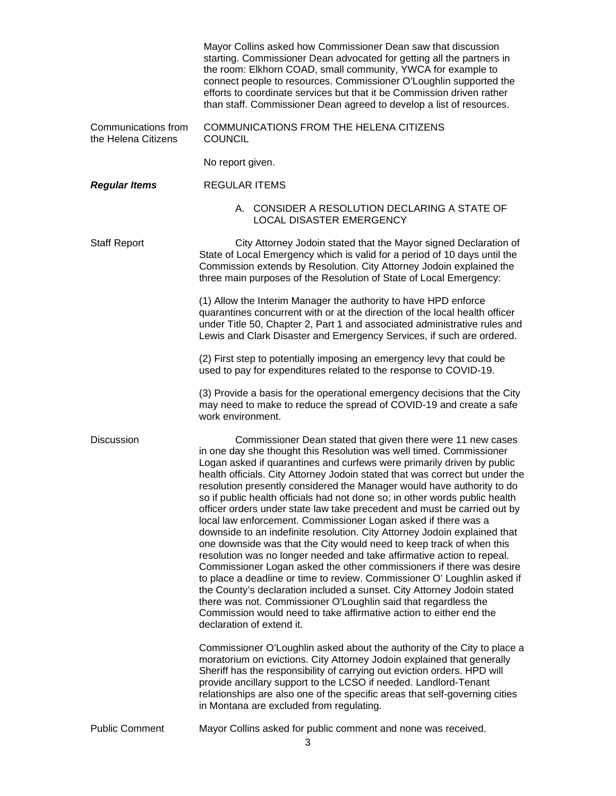|                                            | Mayor Collins asked how Commissioner Dean saw that discussion<br>starting. Commissioner Dean advocated for getting all the partners in<br>the room: Elkhorn COAD, small community, YWCA for example to<br>connect people to resources. Commissioner O'Loughlin supported the<br>efforts to coordinate services but that it be Commission driven rather<br>than staff. Commissioner Dean agreed to develop a list of resources.                                                                                                                                                                                                                                                                                                                                                                                                                                                                                                                                                                                                                                                                                                                                                                                                          |
|--------------------------------------------|-----------------------------------------------------------------------------------------------------------------------------------------------------------------------------------------------------------------------------------------------------------------------------------------------------------------------------------------------------------------------------------------------------------------------------------------------------------------------------------------------------------------------------------------------------------------------------------------------------------------------------------------------------------------------------------------------------------------------------------------------------------------------------------------------------------------------------------------------------------------------------------------------------------------------------------------------------------------------------------------------------------------------------------------------------------------------------------------------------------------------------------------------------------------------------------------------------------------------------------------|
| Communications from<br>the Helena Citizens | COMMUNICATIONS FROM THE HELENA CITIZENS<br><b>COUNCIL</b>                                                                                                                                                                                                                                                                                                                                                                                                                                                                                                                                                                                                                                                                                                                                                                                                                                                                                                                                                                                                                                                                                                                                                                               |
|                                            | No report given.                                                                                                                                                                                                                                                                                                                                                                                                                                                                                                                                                                                                                                                                                                                                                                                                                                                                                                                                                                                                                                                                                                                                                                                                                        |
| <b>Regular Items</b>                       | <b>REGULAR ITEMS</b>                                                                                                                                                                                                                                                                                                                                                                                                                                                                                                                                                                                                                                                                                                                                                                                                                                                                                                                                                                                                                                                                                                                                                                                                                    |
|                                            | A. CONSIDER A RESOLUTION DECLARING A STATE OF<br>LOCAL DISASTER EMERGENCY                                                                                                                                                                                                                                                                                                                                                                                                                                                                                                                                                                                                                                                                                                                                                                                                                                                                                                                                                                                                                                                                                                                                                               |
| <b>Staff Report</b>                        | City Attorney Jodoin stated that the Mayor signed Declaration of<br>State of Local Emergency which is valid for a period of 10 days until the<br>Commission extends by Resolution. City Attorney Jodoin explained the<br>three main purposes of the Resolution of State of Local Emergency:                                                                                                                                                                                                                                                                                                                                                                                                                                                                                                                                                                                                                                                                                                                                                                                                                                                                                                                                             |
|                                            | (1) Allow the Interim Manager the authority to have HPD enforce<br>quarantines concurrent with or at the direction of the local health officer<br>under Title 50, Chapter 2, Part 1 and associated administrative rules and<br>Lewis and Clark Disaster and Emergency Services, if such are ordered.                                                                                                                                                                                                                                                                                                                                                                                                                                                                                                                                                                                                                                                                                                                                                                                                                                                                                                                                    |
|                                            | (2) First step to potentially imposing an emergency levy that could be<br>used to pay for expenditures related to the response to COVID-19.                                                                                                                                                                                                                                                                                                                                                                                                                                                                                                                                                                                                                                                                                                                                                                                                                                                                                                                                                                                                                                                                                             |
|                                            | (3) Provide a basis for the operational emergency decisions that the City<br>may need to make to reduce the spread of COVID-19 and create a safe<br>work environment.                                                                                                                                                                                                                                                                                                                                                                                                                                                                                                                                                                                                                                                                                                                                                                                                                                                                                                                                                                                                                                                                   |
| <b>Discussion</b>                          | Commissioner Dean stated that given there were 11 new cases<br>in one day she thought this Resolution was well timed. Commissioner<br>Logan asked if quarantines and curfews were primarily driven by public<br>health officials. City Attorney Jodoin stated that was correct but under the<br>resolution presently considered the Manager would have authority to do<br>so if public health officials had not done so; in other words public health<br>officer orders under state law take precedent and must be carried out by<br>local law enforcement. Commissioner Logan asked if there was a<br>downside to an indefinite resolution. City Attorney Jodoin explained that<br>one downside was that the City would need to keep track of when this<br>resolution was no longer needed and take affirmative action to repeal.<br>Commissioner Logan asked the other commissioners if there was desire<br>to place a deadline or time to review. Commissioner O' Loughlin asked if<br>the County's declaration included a sunset. City Attorney Jodoin stated<br>there was not. Commissioner O'Loughlin said that regardless the<br>Commission would need to take affirmative action to either end the<br>declaration of extend it. |
|                                            | Commissioner O'Loughlin asked about the authority of the City to place a<br>moratorium on evictions. City Attorney Jodoin explained that generally<br>Sheriff has the responsibility of carrying out eviction orders. HPD will<br>provide ancillary support to the LCSO if needed. Landlord-Tenant<br>relationships are also one of the specific areas that self-governing cities<br>in Montana are excluded from regulating.                                                                                                                                                                                                                                                                                                                                                                                                                                                                                                                                                                                                                                                                                                                                                                                                           |
| <b>Public Comment</b>                      | Mayor Collins asked for public comment and none was received.<br>3                                                                                                                                                                                                                                                                                                                                                                                                                                                                                                                                                                                                                                                                                                                                                                                                                                                                                                                                                                                                                                                                                                                                                                      |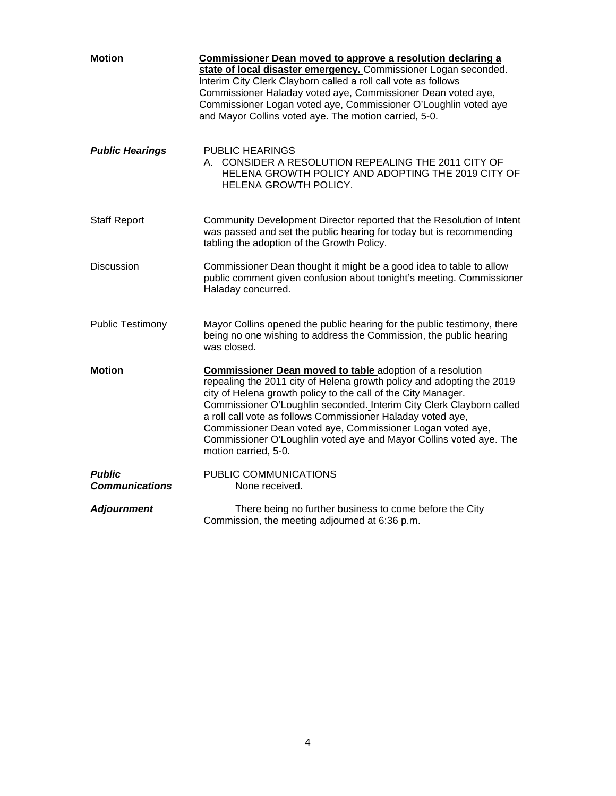| <b>Motion</b>                          | Commissioner Dean moved to approve a resolution declaring a<br>state of local disaster emergency. Commissioner Logan seconded.<br>Interim City Clerk Clayborn called a roll call vote as follows<br>Commissioner Haladay voted aye, Commissioner Dean voted aye,<br>Commissioner Logan voted aye, Commissioner O'Loughlin voted aye<br>and Mayor Collins voted aye. The motion carried, 5-0.                                                                                                                  |
|----------------------------------------|---------------------------------------------------------------------------------------------------------------------------------------------------------------------------------------------------------------------------------------------------------------------------------------------------------------------------------------------------------------------------------------------------------------------------------------------------------------------------------------------------------------|
| <b>Public Hearings</b>                 | <b>PUBLIC HEARINGS</b><br>A. CONSIDER A RESOLUTION REPEALING THE 2011 CITY OF<br>HELENA GROWTH POLICY AND ADOPTING THE 2019 CITY OF<br>HELENA GROWTH POLICY.                                                                                                                                                                                                                                                                                                                                                  |
| <b>Staff Report</b>                    | Community Development Director reported that the Resolution of Intent<br>was passed and set the public hearing for today but is recommending<br>tabling the adoption of the Growth Policy.                                                                                                                                                                                                                                                                                                                    |
| <b>Discussion</b>                      | Commissioner Dean thought it might be a good idea to table to allow<br>public comment given confusion about tonight's meeting. Commissioner<br>Haladay concurred.                                                                                                                                                                                                                                                                                                                                             |
| <b>Public Testimony</b>                | Mayor Collins opened the public hearing for the public testimony, there<br>being no one wishing to address the Commission, the public hearing<br>was closed.                                                                                                                                                                                                                                                                                                                                                  |
| <b>Motion</b>                          | <b>Commissioner Dean moved to table adoption of a resolution</b><br>repealing the 2011 city of Helena growth policy and adopting the 2019<br>city of Helena growth policy to the call of the City Manager.<br>Commissioner O'Loughlin seconded. Interim City Clerk Clayborn called<br>a roll call vote as follows Commissioner Haladay voted aye,<br>Commissioner Dean voted aye, Commissioner Logan voted aye,<br>Commissioner O'Loughlin voted aye and Mayor Collins voted aye. The<br>motion carried, 5-0. |
| <b>Public</b><br><b>Communications</b> | PUBLIC COMMUNICATIONS<br>None received.                                                                                                                                                                                                                                                                                                                                                                                                                                                                       |
| <b>Adjournment</b>                     | There being no further business to come before the City<br>Commission, the meeting adjourned at 6:36 p.m.                                                                                                                                                                                                                                                                                                                                                                                                     |